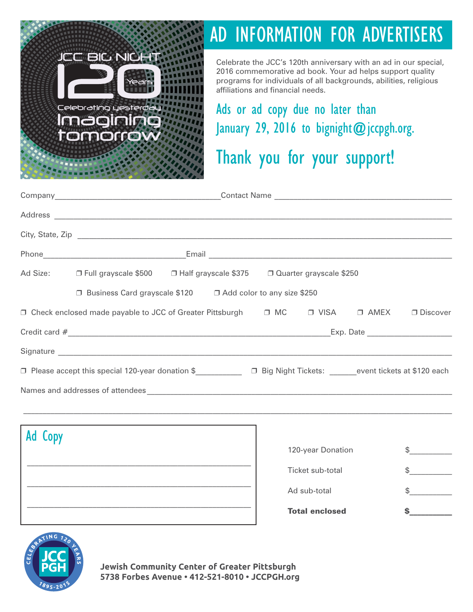

# AD INFORMATION FOR ADVERTISERS

Celebrate the JCC's 120th anniversary with an ad in our special, 2016 commemorative ad book. Your ad helps support quality programs for individuals of all backgrounds, abilities, religious affiliations and financial needs.

Ads or ad copy due no later than January 29, 2016 to bignight@jccpgh.org.

## Thank you for your support!

|         | Ad Size: □ Full grayscale \$500<br>□ Half grayscale \$375<br>□ Quarter grayscale \$250                                                                                                                                         |  |  |  |                       |  |                 |
|---------|--------------------------------------------------------------------------------------------------------------------------------------------------------------------------------------------------------------------------------|--|--|--|-----------------------|--|-----------------|
|         | □ Business Card grayscale \$120 □ Add color to any size \$250                                                                                                                                                                  |  |  |  |                       |  |                 |
|         | □ Check enclosed made payable to JCC of Greater Pittsburgh □ MC □ VISA □ AMEX                                                                                                                                                  |  |  |  |                       |  | $\Box$ Discover |
|         |                                                                                                                                                                                                                                |  |  |  |                       |  |                 |
|         |                                                                                                                                                                                                                                |  |  |  |                       |  |                 |
|         |                                                                                                                                                                                                                                |  |  |  |                       |  |                 |
|         | Names and addresses of attendees experience and and a series of a structure of the series of a structure of the series of a structure of the series of a structure of the series of a structure of the series of a structure o |  |  |  |                       |  |                 |
|         | ,我们也不能在这里的时候,我们也不能在这里的时候,我们也不能在这里的时候,我们也不能会不能在这里的时候,我们也不能会不能会不能会不能会不能会不能会不能会不能会不                                                                                                                                               |  |  |  |                       |  |                 |
|         |                                                                                                                                                                                                                                |  |  |  |                       |  |                 |
| Ad Copy |                                                                                                                                                                                                                                |  |  |  | 120-year Donation     |  | $\frac{1}{2}$   |
|         |                                                                                                                                                                                                                                |  |  |  | Ticket sub-total      |  |                 |
|         |                                                                                                                                                                                                                                |  |  |  | Ad sub-total          |  | \$.             |
|         | and the control of the control of the control of the control of the control of the control of the control of the                                                                                                               |  |  |  | <b>Total enclosed</b> |  |                 |
|         |                                                                                                                                                                                                                                |  |  |  |                       |  |                 |